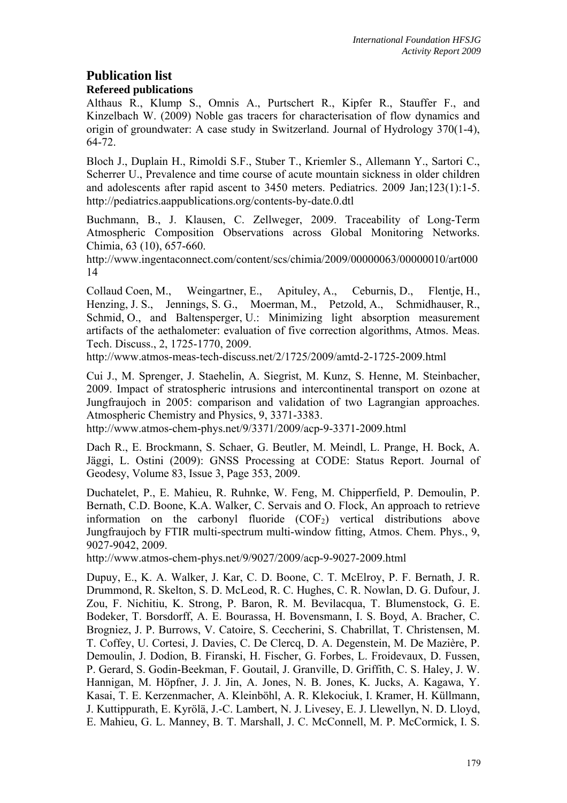# **Publication list**

# **Refereed publications**

Althaus R., Klump S., Omnis A., Purtschert R., Kipfer R., Stauffer F., and Kinzelbach W. (2009) Noble gas tracers for characterisation of flow dynamics and origin of groundwater: A case study in Switzerland. Journal of Hydrology 370(1-4), 64-72.

Bloch J., Duplain H., Rimoldi S.F., Stuber T., Kriemler S., Allemann Y., Sartori C., Scherrer U., Prevalence and time course of acute mountain sickness in older children and adolescents after rapid ascent to 3450 meters. Pediatrics. 2009 Jan;123(1):1-5. http://pediatrics.aappublications.org/contents-by-date.0.dtl

Buchmann, B., J. Klausen, C. Zellweger, 2009. Traceability of Long-Term Atmospheric Composition Observations across Global Monitoring Networks. Chimia, 63 (10), 657-660.

http://www.ingentaconnect.com/content/scs/chimia/2009/00000063/00000010/art000 14

Collaud Coen, M., Weingartner, E., Apituley, A., Ceburnis, D., Flentje, H., Henzing, J. S., Jennings, S. G., Moerman, M., Petzold, A., Schmidhauser, R., Schmid, O., and Baltensperger, U.: Minimizing light absorption measurement artifacts of the aethalometer: evaluation of five correction algorithms, Atmos. Meas. Tech. Discuss., 2, 1725-1770, 2009.

http://www.atmos-meas-tech-discuss.net/2/1725/2009/amtd-2-1725-2009.html

Cui J., M. Sprenger, J. Staehelin, A. Siegrist, M. Kunz, S. Henne, M. Steinbacher, 2009. Impact of stratospheric intrusions and intercontinental transport on ozone at Jungfraujoch in 2005: comparison and validation of two Lagrangian approaches. Atmospheric Chemistry and Physics, 9, 3371-3383.

http://www.atmos-chem-phys.net/9/3371/2009/acp-9-3371-2009.html

Dach R., E. Brockmann, S. Schaer, G. Beutler, M. Meindl, L. Prange, H. Bock, A. Jäggi, L. Ostini (2009): GNSS Processing at CODE: Status Report. Journal of Geodesy, Volume 83, Issue 3, Page 353, 2009.

Duchatelet, P., E. Mahieu, R. Ruhnke, W. Feng, M. Chipperfield, P. Demoulin, P. Bernath, C.D. Boone, K.A. Walker, C. Servais and O. Flock, An approach to retrieve information on the carbonyl fluoride  $(COF_2)$  vertical distributions above Jungfraujoch by FTIR multi-spectrum multi-window fitting, Atmos. Chem. Phys., 9, 9027-9042, 2009.

http://www.atmos-chem-phys.net/9/9027/2009/acp-9-9027-2009.html

Dupuy, E., K. A. Walker, J. Kar, C. D. Boone, C. T. McElroy, P. F. Bernath, J. R. Drummond, R. Skelton, S. D. McLeod, R. C. Hughes, C. R. Nowlan, D. G. Dufour, J. Zou, F. Nichitiu, K. Strong, P. Baron, R. M. Bevilacqua, T. Blumenstock, G. E. Bodeker, T. Borsdorff, A. E. Bourassa, H. Bovensmann, I. S. Boyd, A. Bracher, C. Brogniez, J. P. Burrows, V. Catoire, S. Ceccherini, S. Chabrillat, T. Christensen, M. T. Coffey, U. Cortesi, J. Davies, C. De Clercq, D. A. Degenstein, M. De Mazière, P. Demoulin, J. Dodion, B. Firanski, H. Fischer, G. Forbes, L. Froidevaux, D. Fussen, P. Gerard, S. Godin-Beekman, F. Goutail, J. Granville, D. Griffith, C. S. Haley, J. W. Hannigan, M. Höpfner, J. J. Jin, A. Jones, N. B. Jones, K. Jucks, A. Kagawa, Y. Kasai, T. E. Kerzenmacher, A. Kleinböhl, A. R. Klekociuk, I. Kramer, H. Küllmann, J. Kuttippurath, E. Kyrölä, J.-C. Lambert, N. J. Livesey, E. J. Llewellyn, N. D. Lloyd, E. Mahieu, G. L. Manney, B. T. Marshall, J. C. McConnell, M. P. McCormick, I. S.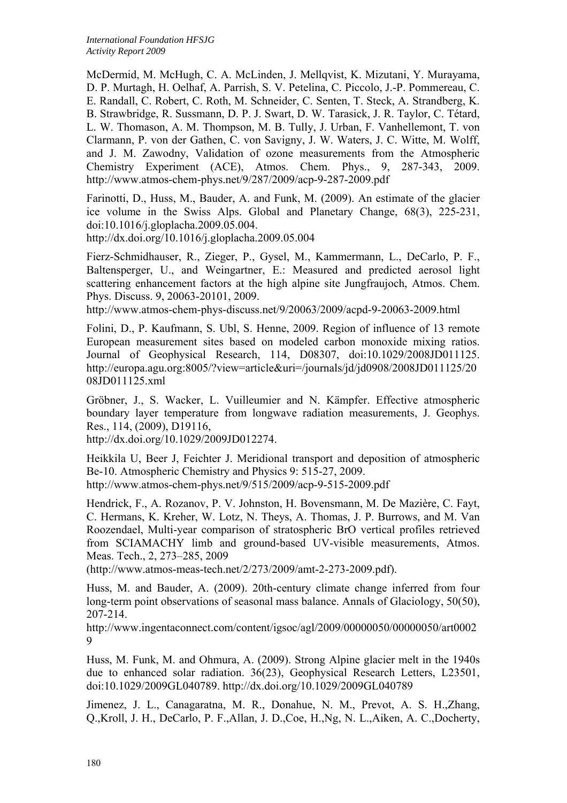McDermid, M. McHugh, C. A. McLinden, J. Mellqvist, K. Mizutani, Y. Murayama, D. P. Murtagh, H. Oelhaf, A. Parrish, S. V. Petelina, C. Piccolo, J.-P. Pommereau, C. E. Randall, C. Robert, C. Roth, M. Schneider, C. Senten, T. Steck, A. Strandberg, K. B. Strawbridge, R. Sussmann, D. P. J. Swart, D. W. Tarasick, J. R. Taylor, C. Tétard, L. W. Thomason, A. M. Thompson, M. B. Tully, J. Urban, F. Vanhellemont, T. von Clarmann, P. von der Gathen, C. von Savigny, J. W. Waters, J. C. Witte, M. Wolff, and J. M. Zawodny, Validation of ozone measurements from the Atmospheric Chemistry Experiment (ACE), Atmos. Chem. Phys., 9, 287-343, 2009. http://www.atmos-chem-phys.net/9/287/2009/acp-9-287-2009.pdf

Farinotti, D., Huss, M., Bauder, A. and Funk, M. (2009). An estimate of the glacier ice volume in the Swiss Alps. Global and Planetary Change, 68(3), 225-231, doi:10.1016/j.gloplacha.2009.05.004.

http://dx.doi.org/10.1016/j.gloplacha.2009.05.004

Fierz-Schmidhauser, R., Zieger, P., Gysel, M., Kammermann, L., DeCarlo, P. F., Baltensperger, U., and Weingartner, E.: Measured and predicted aerosol light scattering enhancement factors at the high alpine site Jungfraujoch, Atmos. Chem. Phys. Discuss. 9, 20063-20101, 2009.

http://www.atmos-chem-phys-discuss.net/9/20063/2009/acpd-9-20063-2009.html

Folini, D., P. Kaufmann, S. Ubl, S. Henne, 2009. Region of influence of 13 remote European measurement sites based on modeled carbon monoxide mixing ratios. Journal of Geophysical Research, 114, D08307, doi:10.1029/2008JD011125. http://europa.agu.org:8005/?view=article&uri=/journals/jd/jd0908/2008JD011125/20 08JD011125.xml

Gröbner, J., S. Wacker, L. Vuilleumier and N. Kämpfer. Effective atmospheric boundary layer temperature from longwave radiation measurements, J. Geophys. Res., 114, (2009), D19116,

http://dx.doi.org/10.1029/2009JD012274.

Heikkila U, Beer J, Feichter J. Meridional transport and deposition of atmospheric Be-10. Atmospheric Chemistry and Physics 9: 515-27, 2009. http://www.atmos-chem-phys.net/9/515/2009/acp-9-515-2009.pdf

Hendrick, F., A. Rozanov, P. V. Johnston, H. Bovensmann, M. De Mazière, C. Fayt, C. Hermans, K. Kreher, W. Lotz, N. Theys, A. Thomas, J. P. Burrows, and M. Van Roozendael, Multi-year comparison of stratospheric BrO vertical profiles retrieved from SCIAMACHY limb and ground-based UV-visible measurements, Atmos. Meas. Tech., 2, 273–285, 2009

(http://www.atmos-meas-tech.net/2/273/2009/amt-2-273-2009.pdf).

Huss, M. and Bauder, A. (2009). 20th-century climate change inferred from four long-term point observations of seasonal mass balance. Annals of Glaciology, 50(50), 207-214.

http://www.ingentaconnect.com/content/igsoc/agl/2009/00000050/00000050/art0002 9

Huss, M. Funk, M. and Ohmura, A. (2009). Strong Alpine glacier melt in the 1940s due to enhanced solar radiation. 36(23), Geophysical Research Letters, L23501, doi:10.1029/2009GL040789. http://dx.doi.org/10.1029/2009GL040789

Jimenez, J. L., Canagaratna, M. R., Donahue, N. M., Prevot, A. S. H.,Zhang, Q.,Kroll, J. H., DeCarlo, P. F.,Allan, J. D.,Coe, H.,Ng, N. L.,Aiken, A. C.,Docherty,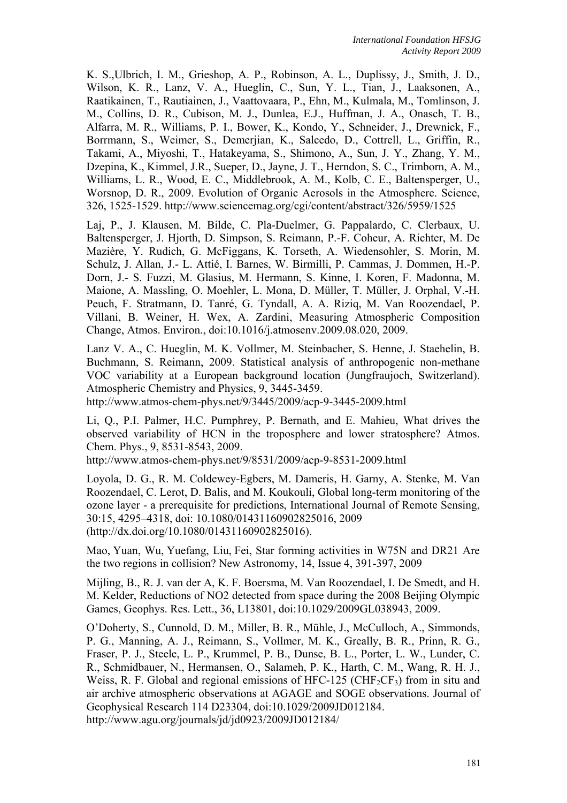K. S.,Ulbrich, I. M., Grieshop, A. P., Robinson, A. L., Duplissy, J., Smith, J. D., Wilson, K. R., Lanz, V. A., Hueglin, C., Sun, Y. L., Tian, J., Laaksonen, A., Raatikainen, T., Rautiainen, J., Vaattovaara, P., Ehn, M., Kulmala, M., Tomlinson, J. M., Collins, D. R., Cubison, M. J., Dunlea, E.J., Huffman, J. A., Onasch, T. B., Alfarra, M. R., Williams, P. I., Bower, K., Kondo, Y., Schneider, J., Drewnick, F., Borrmann, S., Weimer, S., Demerjian, K., Salcedo, D., Cottrell, L., Griffin, R., Takami, A., Miyoshi, T., Hatakeyama, S., Shimono, A., Sun, J. Y., Zhang, Y. M., Dzepina, K., Kimmel, J.R., Sueper, D., Jayne, J. T., Herndon, S. C., Trimborn, A. M., Williams, L. R., Wood, E. C., Middlebrook, A. M., Kolb, C. E., Baltensperger, U., Worsnop, D. R., 2009. Evolution of Organic Aerosols in the Atmosphere. Science, 326, 1525-1529. http://www.sciencemag.org/cgi/content/abstract/326/5959/1525

Laj, P., J. Klausen, M. Bilde, C. Pla-Duelmer, G. Pappalardo, C. Clerbaux, U. Baltensperger, J. Hjorth, D. Simpson, S. Reimann, P.-F. Coheur, A. Richter, M. De Mazière, Y. Rudich, G. McFiggans, K. Torseth, A. Wiedensohler, S. Morin, M. Schulz, J. Allan, J.- L. Attié, I. Barnes, W. Birmilli, P. Cammas, J. Dommen, H.-P. Dorn, J.- S. Fuzzi, M. Glasius, M. Hermann, S. Kinne, I. Koren, F. Madonna, M. Maione, A. Massling, O. Moehler, L. Mona, D. Müller, T. Müller, J. Orphal, V.-H. Peuch, F. Stratmann, D. Tanré, G. Tyndall, A. A. Riziq, M. Van Roozendael, P. Villani, B. Weiner, H. Wex, A. Zardini, Measuring Atmospheric Composition Change, Atmos. Environ., doi:10.1016/j.atmosenv.2009.08.020, 2009.

Lanz V. A., C. Hueglin, M. K. Vollmer, M. Steinbacher, S. Henne, J. Staehelin, B. Buchmann, S. Reimann, 2009. Statistical analysis of anthropogenic non-methane VOC variability at a European background location (Jungfraujoch, Switzerland). Atmospheric Chemistry and Physics, 9, 3445-3459.

http://www.atmos-chem-phys.net/9/3445/2009/acp-9-3445-2009.html

Li, Q., P.I. Palmer, H.C. Pumphrey, P. Bernath, and E. Mahieu, What drives the observed variability of HCN in the troposphere and lower stratosphere? Atmos. Chem. Phys., 9, 8531-8543, 2009.

http://www.atmos-chem-phys.net/9/8531/2009/acp-9-8531-2009.html

Loyola, D. G., R. M. Coldewey-Egbers, M. Dameris, H. Garny, A. Stenke, M. Van Roozendael, C. Lerot, D. Balis, and M. Koukouli, Global long-term monitoring of the ozone layer - a prerequisite for predictions, International Journal of Remote Sensing, 30:15, 4295–4318, doi: 10.1080/01431160902825016, 2009 (http://dx.doi.org/10.1080/01431160902825016).

Mao, Yuan, Wu, Yuefang, Liu, Fei, Star forming activities in W75N and DR21 Are the two regions in collision? New Astronomy, 14, Issue 4, 391-397, 2009

Mijling, B., R. J. van der A, K. F. Boersma, M. Van Roozendael, I. De Smedt, and H. M. Kelder, Reductions of NO2 detected from space during the 2008 Beijing Olympic Games, Geophys. Res. Lett., 36, L13801, doi:10.1029/2009GL038943, 2009.

O'Doherty, S., Cunnold, D. M., Miller, B. R., Mühle, J., McCulloch, A., Simmonds, P. G., Manning, A. J., Reimann, S., Vollmer, M. K., Greally, B. R., Prinn, R. G., Fraser, P. J., Steele, L. P., Krummel, P. B., Dunse, B. L., Porter, L. W., Lunder, C. R., Schmidbauer, N., Hermansen, O., Salameh, P. K., Harth, C. M., Wang, R. H. J., Weiss, R. F. Global and regional emissions of HFC-125 (CHF<sub>2</sub>CF<sub>3</sub>) from in situ and air archive atmospheric observations at AGAGE and SOGE observations. Journal of Geophysical Research 114 D23304, doi:10.1029/2009JD012184. http://www.agu.org/journals/jd/jd0923/2009JD012184/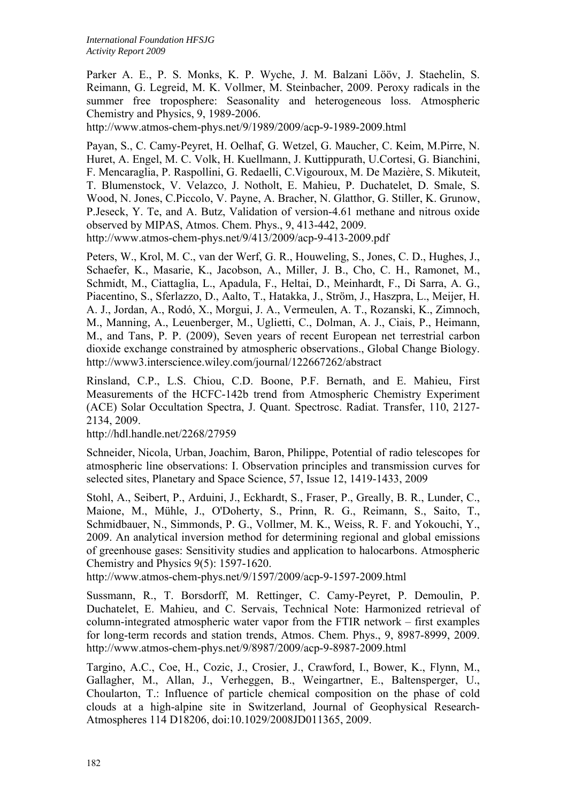Parker A. E., P. S. Monks, K. P. Wyche, J. M. Balzani Lööv, J. Staehelin, S. Reimann, G. Legreid, M. K. Vollmer, M. Steinbacher, 2009. Peroxy radicals in the summer free troposphere: Seasonality and heterogeneous loss. Atmospheric Chemistry and Physics, 9, 1989-2006.

http://www.atmos-chem-phys.net/9/1989/2009/acp-9-1989-2009.html

Payan, S., C. Camy-Peyret, H. Oelhaf, G. Wetzel, G. Maucher, C. Keim, M.Pirre, N. Huret, A. Engel, M. C. Volk, H. Kuellmann, J. Kuttippurath, U.Cortesi, G. Bianchini, F. Mencaraglia, P. Raspollini, G. Redaelli, C.Vigouroux, M. De Mazière, S. Mikuteit, T. Blumenstock, V. Velazco, J. Notholt, E. Mahieu, P. Duchatelet, D. Smale, S. Wood, N. Jones, C.Piccolo, V. Payne, A. Bracher, N. Glatthor, G. Stiller, K. Grunow, P.Jeseck, Y. Te, and A. Butz, Validation of version-4.61 methane and nitrous oxide observed by MIPAS, Atmos. Chem. Phys., 9, 413-442, 2009. http://www.atmos-chem-phys.net/9/413/2009/acp-9-413-2009.pdf

Peters, W., Krol, M. C., van der Werf, G. R., Houweling, S., Jones, C. D., Hughes, J., Schaefer, K., Masarie, K., Jacobson, A., Miller, J. B., Cho, C. H., Ramonet, M., Schmidt, M., Ciattaglia, L., Apadula, F., Heltai, D., Meinhardt, F., Di Sarra, A. G., Piacentino, S., Sferlazzo, D., Aalto, T., Hatakka, J., Ström, J., Haszpra, L., Meijer, H. A. J., Jordan, A., Rodó, X., Morgui, J. A., Vermeulen, A. T., Rozanski, K., Zimnoch, M., Manning, A., Leuenberger, M., Uglietti, C., Dolman, A. J., Ciais, P., Heimann, M., and Tans, P. P. (2009), Seven years of recent European net terrestrial carbon dioxide exchange constrained by atmospheric observations., Global Change Biology. http://www3.interscience.wiley.com/journal/122667262/abstract

Rinsland, C.P., L.S. Chiou, C.D. Boone, P.F. Bernath, and E. Mahieu, First Measurements of the HCFC-142b trend from Atmospheric Chemistry Experiment (ACE) Solar Occultation Spectra, J. Quant. Spectrosc. Radiat. Transfer, 110, 2127- 2134, 2009.

http://hdl.handle.net/2268/27959

Schneider, Nicola, Urban, Joachim, Baron, Philippe, Potential of radio telescopes for atmospheric line observations: I. Observation principles and transmission curves for selected sites, Planetary and Space Science, 57, Issue 12, 1419-1433, 2009

Stohl, A., Seibert, P., Arduini, J., Eckhardt, S., Fraser, P., Greally, B. R., Lunder, C., Maione, M., Mühle, J., O'Doherty, S., Prinn, R. G., Reimann, S., Saito, T., Schmidbauer, N., Simmonds, P. G., Vollmer, M. K., Weiss, R. F. and Yokouchi, Y., 2009. An analytical inversion method for determining regional and global emissions of greenhouse gases: Sensitivity studies and application to halocarbons. Atmospheric Chemistry and Physics 9(5): 1597-1620.

http://www.atmos-chem-phys.net/9/1597/2009/acp-9-1597-2009.html

Sussmann, R., T. Borsdorff, M. Rettinger, C. Camy-Peyret, P. Demoulin, P. Duchatelet, E. Mahieu, and C. Servais, Technical Note: Harmonized retrieval of column-integrated atmospheric water vapor from the FTIR network – first examples for long-term records and station trends, Atmos. Chem. Phys., 9, 8987-8999, 2009. http://www.atmos-chem-phys.net/9/8987/2009/acp-9-8987-2009.html

Targino, A.C., Coe, H., Cozic, J., Crosier, J., Crawford, I., Bower, K., Flynn, M., Gallagher, M., Allan, J., Verheggen, B., Weingartner, E., Baltensperger, U., Choularton, T.: Influence of particle chemical composition on the phase of cold clouds at a high-alpine site in Switzerland, Journal of Geophysical Research-Atmospheres 114 D18206, doi:10.1029/2008JD011365, 2009.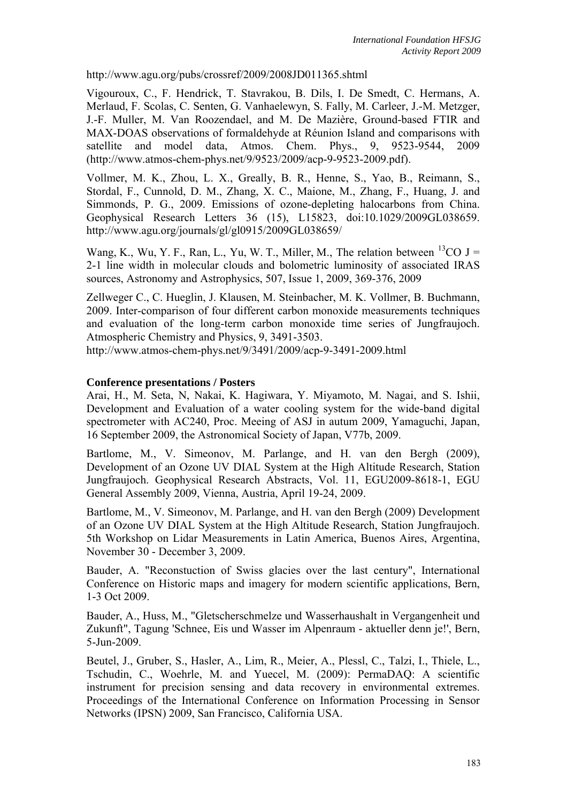http://www.agu.org/pubs/crossref/2009/2008JD011365.shtml

Vigouroux, C., F. Hendrick, T. Stavrakou, B. Dils, I. De Smedt, C. Hermans, A. Merlaud, F. Scolas, C. Senten, G. Vanhaelewyn, S. Fally, M. Carleer, J.-M. Metzger, J.-F. Muller, M. Van Roozendael, and M. De Mazière, Ground-based FTIR and MAX-DOAS observations of formaldehyde at Réunion Island and comparisons with satellite and model data, Atmos. Chem. Phys., 9, 9523-9544, 2009 (http://www.atmos-chem-phys.net/9/9523/2009/acp-9-9523-2009.pdf).

Vollmer, M. K., Zhou, L. X., Greally, B. R., Henne, S., Yao, B., Reimann, S., Stordal, F., Cunnold, D. M., Zhang, X. C., Maione, M., Zhang, F., Huang, J. and Simmonds, P. G., 2009. Emissions of ozone-depleting halocarbons from China. Geophysical Research Letters 36 (15), L15823, doi:10.1029/2009GL038659. http://www.agu.org/journals/gl/gl0915/2009GL038659/

Wang, K., Wu, Y. F., Ran, L., Yu, W. T., Miller, M., The relation between  $^{13}CO$  J = 2-1 line width in molecular clouds and bolometric luminosity of associated IRAS sources, Astronomy and Astrophysics, 507, Issue 1, 2009, 369-376, 2009

Zellweger C., C. Hueglin, J. Klausen, M. Steinbacher, M. K. Vollmer, B. Buchmann, 2009. Inter-comparison of four different carbon monoxide measurements techniques and evaluation of the long-term carbon monoxide time series of Jungfraujoch. Atmospheric Chemistry and Physics, 9, 3491-3503.

http://www.atmos-chem-phys.net/9/3491/2009/acp-9-3491-2009.html

#### **Conference presentations / Posters**

Arai, H., M. Seta, N, Nakai, K. Hagiwara, Y. Miyamoto, M. Nagai, and S. Ishii, Development and Evaluation of a water cooling system for the wide-band digital spectrometer with AC240, Proc. Meeing of ASJ in autum 2009, Yamaguchi, Japan, 16 September 2009, the Astronomical Society of Japan, V77b, 2009.

Bartlome, M., V. Simeonov, M. Parlange, and H. van den Bergh (2009), Development of an Ozone UV DIAL System at the High Altitude Research, Station Jungfraujoch. Geophysical Research Abstracts, Vol. 11, EGU2009-8618-1, EGU General Assembly 2009, Vienna, Austria, April 19-24, 2009.

Bartlome, M., V. Simeonov, M. Parlange, and H. van den Bergh (2009) Development of an Ozone UV DIAL System at the High Altitude Research, Station Jungfraujoch. 5th Workshop on Lidar Measurements in Latin America, Buenos Aires, Argentina, November 30 - December 3, 2009.

Bauder, A. "Reconstuction of Swiss glacies over the last century", International Conference on Historic maps and imagery for modern scientific applications, Bern, 1-3 Oct 2009.

Bauder, A., Huss, M., "Gletscherschmelze und Wasserhaushalt in Vergangenheit und Zukunft", Tagung 'Schnee, Eis und Wasser im Alpenraum - aktueller denn je!', Bern, 5-Jun-2009.

Beutel, J., Gruber, S., Hasler, A., Lim, R., Meier, A., Plessl, C., Talzi, I., Thiele, L., Tschudin, C., Woehrle, M. and Yuecel, M. (2009): PermaDAQ: A scientific instrument for precision sensing and data recovery in environmental extremes. Proceedings of the International Conference on Information Processing in Sensor Networks (IPSN) 2009, San Francisco, California USA.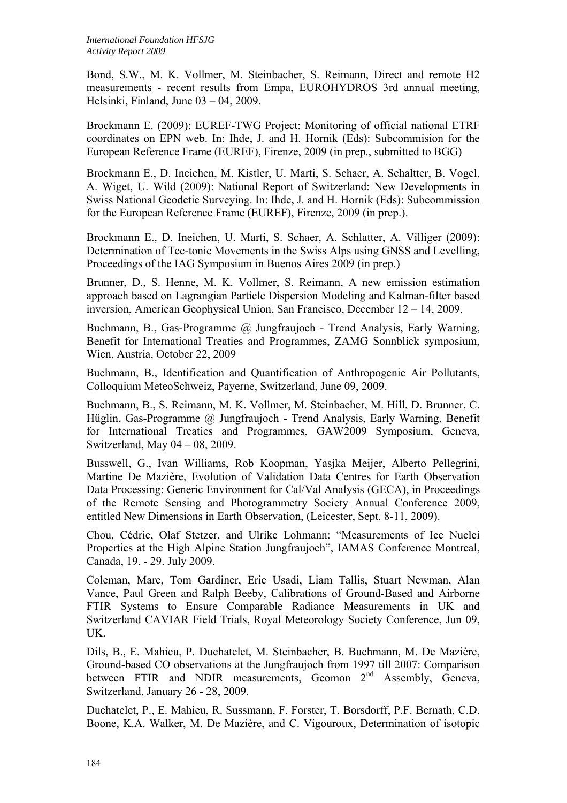Bond, S.W., M. K. Vollmer, M. Steinbacher, S. Reimann, Direct and remote H2 measurements - recent results from Empa, EUROHYDROS 3rd annual meeting, Helsinki, Finland, June 03 – 04, 2009.

Brockmann E. (2009): EUREF-TWG Project: Monitoring of official national ETRF coordinates on EPN web. In: Ihde, J. and H. Hornik (Eds): Subcommision for the European Reference Frame (EUREF), Firenze, 2009 (in prep., submitted to BGG)

Brockmann E., D. Ineichen, M. Kistler, U. Marti, S. Schaer, A. Schaltter, B. Vogel, A. Wiget, U. Wild (2009): National Report of Switzerland: New Developments in Swiss National Geodetic Surveying. In: Ihde, J. and H. Hornik (Eds): Subcommission for the European Reference Frame (EUREF), Firenze, 2009 (in prep.).

Brockmann E., D. Ineichen, U. Marti, S. Schaer, A. Schlatter, A. Villiger (2009): Determination of Tec-tonic Movements in the Swiss Alps using GNSS and Levelling, Proceedings of the IAG Symposium in Buenos Aires 2009 (in prep.)

Brunner, D., S. Henne, M. K. Vollmer, S. Reimann, A new emission estimation approach based on Lagrangian Particle Dispersion Modeling and Kalman-filter based inversion, American Geophysical Union, San Francisco, December 12 – 14, 2009.

Buchmann, B., Gas-Programme @ Jungfraujoch - Trend Analysis, Early Warning, Benefit for International Treaties and Programmes, ZAMG Sonnblick symposium, Wien, Austria, October 22, 2009

Buchmann, B., Identification and Quantification of Anthropogenic Air Pollutants, Colloquium MeteoSchweiz, Payerne, Switzerland, June 09, 2009.

Buchmann, B., S. Reimann, M. K. Vollmer, M. Steinbacher, M. Hill, D. Brunner, C. Hüglin, Gas-Programme @ Jungfraujoch - Trend Analysis, Early Warning, Benefit for International Treaties and Programmes, GAW2009 Symposium, Geneva, Switzerland, May 04 – 08, 2009.

Busswell, G., Ivan Williams, Rob Koopman, Yasjka Meijer, Alberto Pellegrini, Martine De Mazière, Evolution of Validation Data Centres for Earth Observation Data Processing: Generic Environment for Cal/Val Analysis (GECA), in Proceedings of the Remote Sensing and Photogrammetry Society Annual Conference 2009, entitled New Dimensions in Earth Observation, (Leicester, Sept. 8-11, 2009).

Chou, Cédric, Olaf Stetzer, and Ulrike Lohmann: "Measurements of Ice Nuclei Properties at the High Alpine Station Jungfraujoch", IAMAS Conference Montreal, Canada, 19. - 29. July 2009.

Coleman, Marc, Tom Gardiner, Eric Usadi, Liam Tallis, Stuart Newman, Alan Vance, Paul Green and Ralph Beeby, Calibrations of Ground-Based and Airborne FTIR Systems to Ensure Comparable Radiance Measurements in UK and Switzerland CAVIAR Field Trials, Royal Meteorology Society Conference, Jun 09, UK.

Dils, B., E. Mahieu, P. Duchatelet, M. Steinbacher, B. Buchmann, M. De Mazière, Ground-based CO observations at the Jungfraujoch from 1997 till 2007: Comparison between FTIR and NDIR measurements, Geomon 2<sup>nd</sup> Assembly, Geneva, Switzerland, January 26 - 28, 2009.

Duchatelet, P., E. Mahieu, R. Sussmann, F. Forster, T. Borsdorff, P.F. Bernath, C.D. Boone, K.A. Walker, M. De Mazière, and C. Vigouroux, Determination of isotopic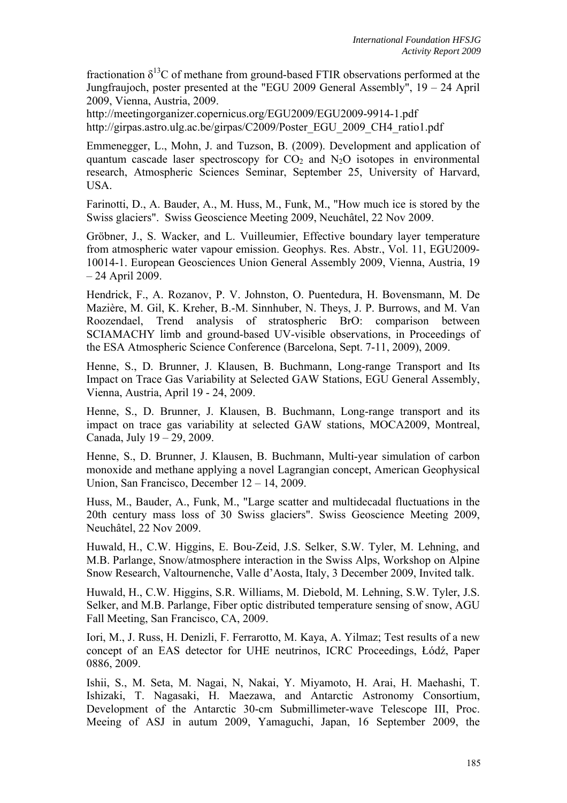fractionation  $\delta^{13}$ C of methane from ground-based FTIR observations performed at the Jungfraujoch, poster presented at the "EGU 2009 General Assembly", 19 – 24 April 2009, Vienna, Austria, 2009.

http://meetingorganizer.copernicus.org/EGU2009/EGU2009-9914-1.pdf http://girpas.astro.ulg.ac.be/girpas/C2009/Poster\_EGU\_2009\_CH4\_ratio1.pdf

Emmenegger, L., Mohn, J. and Tuzson, B. (2009). Development and application of quantum cascade laser spectroscopy for  $CO<sub>2</sub>$  and  $N<sub>2</sub>O$  isotopes in environmental research, Atmospheric Sciences Seminar, September 25, University of Harvard, USA.

Farinotti, D., A. Bauder, A., M. Huss, M., Funk, M., "How much ice is stored by the Swiss glaciers". Swiss Geoscience Meeting 2009, Neuchâtel, 22 Nov 2009.

Gröbner, J., S. Wacker, and L. Vuilleumier, Effective boundary layer temperature from atmospheric water vapour emission. Geophys. Res. Abstr., Vol. 11, EGU2009- 10014-1. European Geosciences Union General Assembly 2009, Vienna, Austria, 19 – 24 April 2009.

Hendrick, F., A. Rozanov, P. V. Johnston, O. Puentedura, H. Bovensmann, M. De Mazière, M. Gil, K. Kreher, B.-M. Sinnhuber, N. Theys, J. P. Burrows, and M. Van Roozendael, Trend analysis of stratospheric BrO: comparison between SCIAMACHY limb and ground-based UV-visible observations, in Proceedings of the ESA Atmospheric Science Conference (Barcelona, Sept. 7-11, 2009), 2009.

Henne, S., D. Brunner, J. Klausen, B. Buchmann, Long-range Transport and Its Impact on Trace Gas Variability at Selected GAW Stations, EGU General Assembly, Vienna, Austria, April 19 - 24, 2009.

Henne, S., D. Brunner, J. Klausen, B. Buchmann, Long-range transport and its impact on trace gas variability at selected GAW stations, MOCA2009, Montreal, Canada, July 19 – 29, 2009.

Henne, S., D. Brunner, J. Klausen, B. Buchmann, Multi-year simulation of carbon monoxide and methane applying a novel Lagrangian concept, American Geophysical Union, San Francisco, December 12 – 14, 2009.

Huss, M., Bauder, A., Funk, M., "Large scatter and multidecadal fluctuations in the 20th century mass loss of 30 Swiss glaciers". Swiss Geoscience Meeting 2009, Neuchâtel, 22 Nov 2009.

Huwald, H., C.W. Higgins, E. Bou-Zeid, J.S. Selker, S.W. Tyler, M. Lehning, and M.B. Parlange, Snow/atmosphere interaction in the Swiss Alps, Workshop on Alpine Snow Research, Valtournenche, Valle d'Aosta, Italy, 3 December 2009, Invited talk.

Huwald, H., C.W. Higgins, S.R. Williams, M. Diebold, M. Lehning, S.W. Tyler, J.S. Selker, and M.B. Parlange, Fiber optic distributed temperature sensing of snow, AGU Fall Meeting, San Francisco, CA, 2009.

Iori, M., J. Russ, H. Denizli, F. Ferrarotto, M. Kaya, A. Yilmaz; Test results of a new concept of an EAS detector for UHE neutrinos, ICRC Proceedings, Łódź, Paper 0886, 2009.

Ishii, S., M. Seta, M. Nagai, N, Nakai, Y. Miyamoto, H. Arai, H. Maehashi, T. Ishizaki, T. Nagasaki, H. Maezawa, and Antarctic Astronomy Consortium, Development of the Antarctic 30-cm Submillimeter-wave Telescope III, Proc. Meeing of ASJ in autum 2009, Yamaguchi, Japan, 16 September 2009, the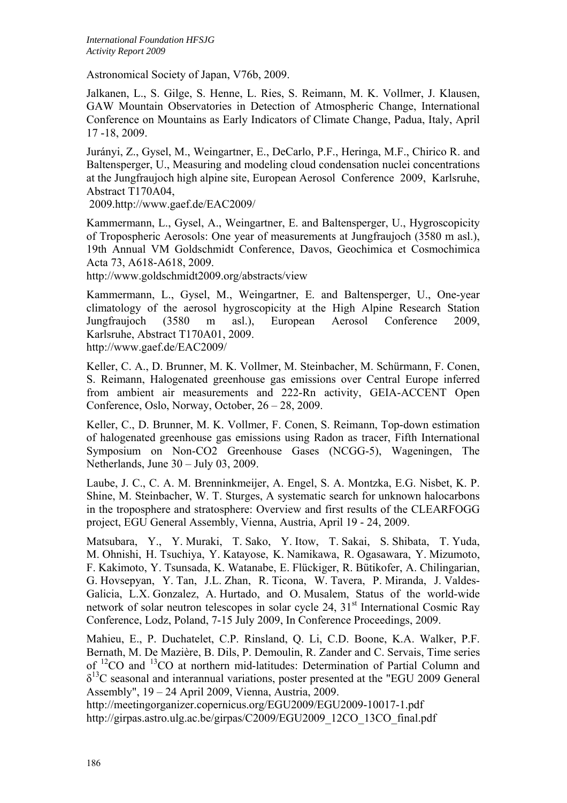Astronomical Society of Japan, V76b, 2009.

Jalkanen, L., S. Gilge, S. Henne, L. Ries, S. Reimann, M. K. Vollmer, J. Klausen, GAW Mountain Observatories in Detection of Atmospheric Change, International Conference on Mountains as Early Indicators of Climate Change, Padua, Italy, April 17 -18, 2009.

Jurányi, Z., Gysel, M., Weingartner, E., DeCarlo, P.F., Heringa, M.F., Chirico R. and Baltensperger, U., Measuring and modeling cloud condensation nuclei concentrations at the Jungfraujoch high alpine site, European Aerosol Conference 2009, Karlsruhe, Abstract T170A04,

2009.http://www.gaef.de/EAC2009/

Kammermann, L., Gysel, A., Weingartner, E. and Baltensperger, U., Hygroscopicity of Tropospheric Aerosols: One year of measurements at Jungfraujoch (3580 m asl.), 19th Annual VM Goldschmidt Conference, Davos, Geochimica et Cosmochimica Acta 73, A618-A618, 2009.

http://www.goldschmidt2009.org/abstracts/view

Kammermann, L., Gysel, M., Weingartner, E. and Baltensperger, U., One-year climatology of the aerosol hygroscopicity at the High Alpine Research Station Jungfraujoch (3580 m asl.), European Aerosol Conference 2009, Karlsruhe, Abstract T170A01, 2009. http://www.gaef.de/EAC2009/

Keller, C. A., D. Brunner, M. K. Vollmer, M. Steinbacher, M. Schürmann, F. Conen, S. Reimann, Halogenated greenhouse gas emissions over Central Europe inferred from ambient air measurements and 222-Rn activity, GEIA-ACCENT Open Conference, Oslo, Norway, October, 26 – 28, 2009.

Keller, C., D. Brunner, M. K. Vollmer, F. Conen, S. Reimann, Top-down estimation of halogenated greenhouse gas emissions using Radon as tracer, Fifth International Symposium on Non-CO2 Greenhouse Gases (NCGG-5), Wageningen, The Netherlands, June 30 – July 03, 2009.

Laube, J. C., C. A. M. Brenninkmeijer, A. Engel, S. A. Montzka, E.G. Nisbet, K. P. Shine, M. Steinbacher, W. T. Sturges, A systematic search for unknown halocarbons in the troposphere and stratosphere: Overview and first results of the CLEARFOGG project, EGU General Assembly, Vienna, Austria, April 19 - 24, 2009.

Matsubara, Y., Y. Muraki, T. Sako, Y. Itow, T. Sakai, S. Shibata, T. Yuda, M. Ohnishi, H. Tsuchiya, Y. Katayose, K. Namikawa, R. Ogasawara, Y. Mizumoto, F. Kakimoto, Y. Tsunsada, K. Watanabe, E. Flückiger, R. Bütikofer, A. Chilingarian, G. Hovsepyan, Y. Tan, J.L. Zhan, R. Ticona, W. Tavera, P. Miranda, J. Valdes-Galicia, L.X. Gonzalez, A. Hurtado, and O. Musalem, Status of the world-wide network of solar neutron telescopes in solar cycle 24, 31<sup>st</sup> International Cosmic Ray Conference, Lodz, Poland, 7-15 July 2009, In Conference Proceedings, 2009.

Mahieu, E., P. Duchatelet, C.P. Rinsland, Q. Li, C.D. Boone, K.A. Walker, P.F. Bernath, M. De Mazière, B. Dils, P. Demoulin, R. Zander and C. Servais, Time series of 12CO and 13CO at northern mid-latitudes: Determination of Partial Column and  $\delta^{13}$ C seasonal and interannual variations, poster presented at the "EGU 2009 General Assembly", 19 – 24 April 2009, Vienna, Austria, 2009.

http://meetingorganizer.copernicus.org/EGU2009/EGU2009-10017-1.pdf http://girpas.astro.ulg.ac.be/girpas/C2009/EGU2009\_12CO\_13CO\_final.pdf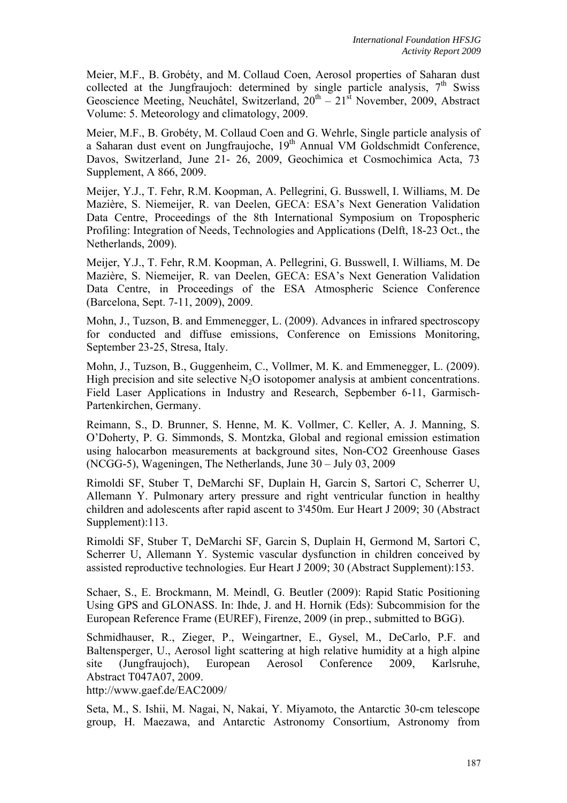Meier, M.F., B. Grobéty, and M. Collaud Coen, Aerosol properties of Saharan dust collected at the Jungfraujoch: determined by single particle analysis,  $7<sup>th</sup>$  Swiss Geoscience Meeting, Neuchâtel, Switzerland,  $20^{th} - 21^{st}$  November, 2009, Abstract Volume: 5. Meteorology and climatology, 2009.

Meier, M.F., B. Grobéty, M. Collaud Coen and G. Wehrle, Single particle analysis of a Saharan dust event on Jungfraujoche, 19th Annual VM Goldschmidt Conference, Davos, Switzerland, June 21- 26, 2009, Geochimica et Cosmochimica Acta, 73 Supplement, A 866, 2009.

Meijer, Y.J., T. Fehr, R.M. Koopman, A. Pellegrini, G. Busswell, I. Williams, M. De Mazière, S. Niemeijer, R. van Deelen, GECA: ESA's Next Generation Validation Data Centre, Proceedings of the 8th International Symposium on Tropospheric Profiling: Integration of Needs, Technologies and Applications (Delft, 18-23 Oct., the Netherlands, 2009).

Meijer, Y.J., T. Fehr, R.M. Koopman, A. Pellegrini, G. Busswell, I. Williams, M. De Mazière, S. Niemeijer, R. van Deelen, GECA: ESA's Next Generation Validation Data Centre, in Proceedings of the ESA Atmospheric Science Conference (Barcelona, Sept. 7-11, 2009), 2009.

Mohn, J., Tuzson, B. and Emmenegger, L. (2009). Advances in infrared spectroscopy for conducted and diffuse emissions, Conference on Emissions Monitoring, September 23-25, Stresa, Italy.

Mohn, J., Tuzson, B., Guggenheim, C., Vollmer, M. K. and Emmenegger, L. (2009). High precision and site selective  $N_2O$  isotopomer analysis at ambient concentrations. Field Laser Applications in Industry and Research, Sepbember 6-11, Garmisch-Partenkirchen, Germany.

Reimann, S., D. Brunner, S. Henne, M. K. Vollmer, C. Keller, A. J. Manning, S. O'Doherty, P. G. Simmonds, S. Montzka, Global and regional emission estimation using halocarbon measurements at background sites, Non-CO2 Greenhouse Gases (NCGG-5), Wageningen, The Netherlands, June 30 – July 03, 2009

Rimoldi SF, Stuber T, DeMarchi SF, Duplain H, Garcin S, Sartori C, Scherrer U, Allemann Y. Pulmonary artery pressure and right ventricular function in healthy children and adolescents after rapid ascent to 3'450m. Eur Heart J 2009; 30 (Abstract Supplement): 113.

Rimoldi SF, Stuber T, DeMarchi SF, Garcin S, Duplain H, Germond M, Sartori C, Scherrer U, Allemann Y. Systemic vascular dysfunction in children conceived by assisted reproductive technologies. Eur Heart J 2009; 30 (Abstract Supplement):153.

Schaer, S., E. Brockmann, M. Meindl, G. Beutler (2009): Rapid Static Positioning Using GPS and GLONASS. In: Ihde, J. and H. Hornik (Eds): Subcommision for the European Reference Frame (EUREF), Firenze, 2009 (in prep., submitted to BGG).

Schmidhauser, R., Zieger, P., Weingartner, E., Gysel, M., DeCarlo, P.F. and Baltensperger, U., Aerosol light scattering at high relative humidity at a high alpine site (Jungfraujoch), European Aerosol Conference 2009, Karlsruhe, Abstract T047A07, 2009.

http://www.gaef.de/EAC2009/

Seta, M., S. Ishii, M. Nagai, N, Nakai, Y. Miyamoto, the Antarctic 30-cm telescope group, H. Maezawa, and Antarctic Astronomy Consortium, Astronomy from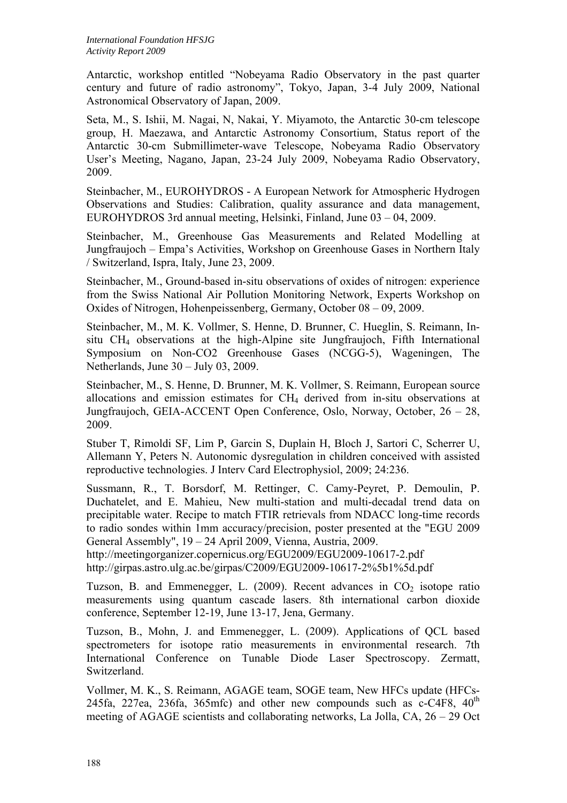Antarctic, workshop entitled "Nobeyama Radio Observatory in the past quarter century and future of radio astronomy", Tokyo, Japan, 3-4 July 2009, National Astronomical Observatory of Japan, 2009.

Seta, M., S. Ishii, M. Nagai, N, Nakai, Y. Miyamoto, the Antarctic 30-cm telescope group, H. Maezawa, and Antarctic Astronomy Consortium, Status report of the Antarctic 30-cm Submillimeter-wave Telescope, Nobeyama Radio Observatory User's Meeting, Nagano, Japan, 23-24 July 2009, Nobeyama Radio Observatory, 2009.

Steinbacher, M., EUROHYDROS - A European Network for Atmospheric Hydrogen Observations and Studies: Calibration, quality assurance and data management, EUROHYDROS 3rd annual meeting, Helsinki, Finland, June 03 – 04, 2009.

Steinbacher, M., Greenhouse Gas Measurements and Related Modelling at Jungfraujoch – Empa's Activities, Workshop on Greenhouse Gases in Northern Italy / Switzerland, Ispra, Italy, June 23, 2009.

Steinbacher, M., Ground-based in-situ observations of oxides of nitrogen: experience from the Swiss National Air Pollution Monitoring Network, Experts Workshop on Oxides of Nitrogen, Hohenpeissenberg, Germany, October 08 – 09, 2009.

Steinbacher, M., M. K. Vollmer, S. Henne, D. Brunner, C. Hueglin, S. Reimann, Insitu CH4 observations at the high-Alpine site Jungfraujoch, Fifth International Symposium on Non-CO2 Greenhouse Gases (NCGG-5), Wageningen, The Netherlands, June 30 – July 03, 2009.

Steinbacher, M., S. Henne, D. Brunner, M. K. Vollmer, S. Reimann, European source allocations and emission estimates for CH4 derived from in-situ observations at Jungfraujoch, GEIA-ACCENT Open Conference, Oslo, Norway, October, 26 – 28, 2009.

Stuber T, Rimoldi SF, Lim P, Garcin S, Duplain H, Bloch J, Sartori C, Scherrer U, Allemann Y, Peters N. Autonomic dysregulation in children conceived with assisted reproductive technologies. J Interv Card Electrophysiol, 2009; 24:236.

Sussmann, R., T. Borsdorf, M. Rettinger, C. Camy-Peyret, P. Demoulin, P. Duchatelet, and E. Mahieu, New multi-station and multi-decadal trend data on precipitable water. Recipe to match FTIR retrievals from NDACC long-time records to radio sondes within 1mm accuracy/precision, poster presented at the "EGU 2009 General Assembly", 19 – 24 April 2009, Vienna, Austria, 2009.

http://meetingorganizer.copernicus.org/EGU2009/EGU2009-10617-2.pdf http://girpas.astro.ulg.ac.be/girpas/C2009/EGU2009-10617-2%5b1%5d.pdf

Tuzson, B. and Emmenegger, L.  $(2009)$ . Recent advances in  $CO<sub>2</sub>$  isotope ratio measurements using quantum cascade lasers. 8th international carbon dioxide conference, September 12-19, June 13-17, Jena, Germany.

Tuzson, B., Mohn, J. and Emmenegger, L. (2009). Applications of QCL based spectrometers for isotope ratio measurements in environmental research. 7th International Conference on Tunable Diode Laser Spectroscopy. Zermatt, Switzerland.

Vollmer, M. K., S. Reimann, AGAGE team, SOGE team, New HFCs update (HFCs-245fa, 227ea, 236fa, 365mfc) and other new compounds such as  $c$ -C4F8,  $40<sup>th</sup>$ meeting of AGAGE scientists and collaborating networks, La Jolla, CA, 26 – 29 Oct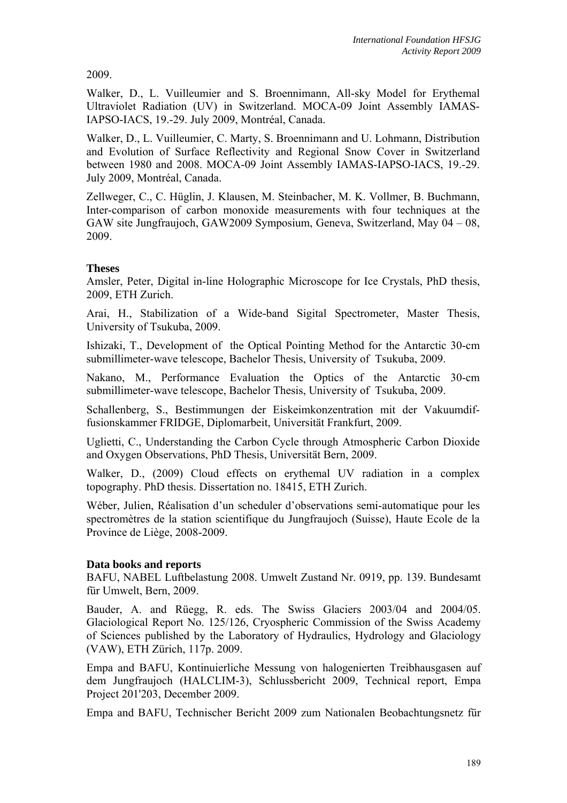2009.

Walker, D., L. Vuilleumier and S. Broennimann, All-sky Model for Erythemal Ultraviolet Radiation (UV) in Switzerland. MOCA-09 Joint Assembly IAMAS-IAPSO-IACS, 19.-29. July 2009, Montréal, Canada.

Walker, D., L. Vuilleumier, C. Marty, S. Broennimann and U. Lohmann, Distribution and Evolution of Surface Reflectivity and Regional Snow Cover in Switzerland between 1980 and 2008. MOCA-09 Joint Assembly IAMAS-IAPSO-IACS, 19.-29. July 2009, Montréal, Canada.

Zellweger, C., C. Hüglin, J. Klausen, M. Steinbacher, M. K. Vollmer, B. Buchmann, Inter-comparison of carbon monoxide measurements with four techniques at the GAW site Jungfraujoch, GAW2009 Symposium, Geneva, Switzerland, May 04 – 08, 2009.

# **Theses**

Amsler, Peter, Digital in-line Holographic Microscope for Ice Crystals, PhD thesis, 2009, ETH Zurich.

Arai, H., Stabilization of a Wide-band Sigital Spectrometer, Master Thesis, University of Tsukuba, 2009.

Ishizaki, T., Development of the Optical Pointing Method for the Antarctic 30-cm submillimeter-wave telescope, Bachelor Thesis, University of Tsukuba, 2009.

Nakano, M., Performance Evaluation the Optics of the Antarctic 30-cm submillimeter-wave telescope, Bachelor Thesis, University of Tsukuba, 2009.

Schallenberg, S., Bestimmungen der Eiskeimkonzentration mit der Vakuumdiffusionskammer FRIDGE, Diplomarbeit, Universität Frankfurt, 2009.

Uglietti, C., Understanding the Carbon Cycle through Atmospheric Carbon Dioxide and Oxygen Observations, PhD Thesis, Universität Bern, 2009.

Walker, D., (2009) Cloud effects on erythemal UV radiation in a complex topography. PhD thesis. Dissertation no. 18415, ETH Zurich.

Wéber, Julien, Réalisation d'un scheduler d'observations semi-automatique pour les spectromètres de la station scientifique du Jungfraujoch (Suisse), Haute Ecole de la Province de Liège, 2008-2009.

# **Data books and reports**

BAFU, NABEL Luftbelastung 2008. Umwelt Zustand Nr. 0919, pp. 139. Bundesamt für Umwelt, Bern, 2009.

Bauder, A. and Rüegg, R. eds. The Swiss Glaciers 2003/04 and 2004/05. Glaciological Report No. 125/126, Cryospheric Commission of the Swiss Academy of Sciences published by the Laboratory of Hydraulics, Hydrology and Glaciology (VAW), ETH Zürich, 117p. 2009.

Empa and BAFU, Kontinuierliche Messung von halogenierten Treibhausgasen auf dem Jungfraujoch (HALCLIM-3), Schlussbericht 2009, Technical report, Empa Project 201'203, December 2009.

Empa and BAFU, Technischer Bericht 2009 zum Nationalen Beobachtungsnetz für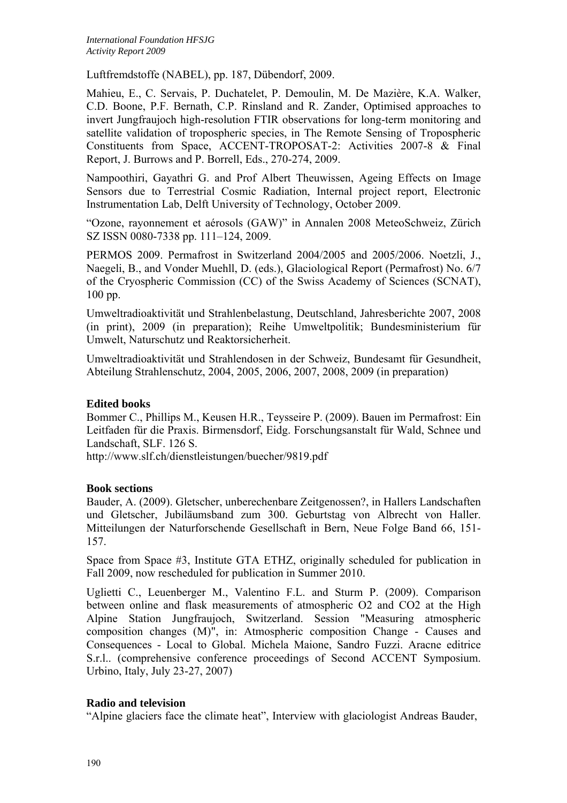Luftfremdstoffe (NABEL), pp. 187, Dübendorf, 2009.

Mahieu, E., C. Servais, P. Duchatelet, P. Demoulin, M. De Mazière, K.A. Walker, C.D. Boone, P.F. Bernath, C.P. Rinsland and R. Zander, Optimised approaches to invert Jungfraujoch high-resolution FTIR observations for long-term monitoring and satellite validation of tropospheric species, in The Remote Sensing of Tropospheric Constituents from Space, ACCENT-TROPOSAT-2: Activities 2007-8 & Final Report, J. Burrows and P. Borrell, Eds., 270-274, 2009.

Nampoothiri, Gayathri G. and Prof Albert Theuwissen, Ageing Effects on Image Sensors due to Terrestrial Cosmic Radiation, Internal project report, Electronic Instrumentation Lab, Delft University of Technology, October 2009.

"Ozone, rayonnement et aérosols (GAW)" in Annalen 2008 MeteoSchweiz, Zürich SZ ISSN 0080-7338 pp. 111–124, 2009.

PERMOS 2009. Permafrost in Switzerland 2004/2005 and 2005/2006. Noetzli, J., Naegeli, B., and Vonder Muehll, D. (eds.), Glaciological Report (Permafrost) No. 6/7 of the Cryospheric Commission (CC) of the Swiss Academy of Sciences (SCNAT), 100 pp.

Umweltradioaktivität und Strahlenbelastung, Deutschland, Jahresberichte 2007, 2008 (in print), 2009 (in preparation); Reihe Umweltpolitik; Bundesministerium für Umwelt, Naturschutz und Reaktorsicherheit.

Umweltradioaktivität und Strahlendosen in der Schweiz, Bundesamt für Gesundheit, Abteilung Strahlenschutz, 2004, 2005, 2006, 2007, 2008, 2009 (in preparation)

### **Edited books**

Bommer C., Phillips M., Keusen H.R., Teysseire P. (2009). Bauen im Permafrost: Ein Leitfaden für die Praxis. Birmensdorf, Eidg. Forschungsanstalt für Wald, Schnee und Landschaft, SLF. 126 S.

http://www.slf.ch/dienstleistungen/buecher/9819.pdf

#### **Book sections**

Bauder, A. (2009). Gletscher, unberechenbare Zeitgenossen?, in Hallers Landschaften und Gletscher, Jubiläumsband zum 300. Geburtstag von Albrecht von Haller. Mitteilungen der Naturforschende Gesellschaft in Bern, Neue Folge Band 66, 151- 157.

Space from Space #3, Institute GTA ETHZ, originally scheduled for publication in Fall 2009, now rescheduled for publication in Summer 2010.

Uglietti C., Leuenberger M., Valentino F.L. and Sturm P. (2009). Comparison between online and flask measurements of atmospheric O2 and CO2 at the High Alpine Station Jungfraujoch, Switzerland. Session "Measuring atmospheric composition changes (M)", in: Atmospheric composition Change - Causes and Consequences - Local to Global. Michela Maione, Sandro Fuzzi. Aracne editrice S.r.l.. (comprehensive conference proceedings of Second ACCENT Symposium. Urbino, Italy, July 23-27, 2007)

#### **Radio and television**

"Alpine glaciers face the climate heat", Interview with glaciologist Andreas Bauder,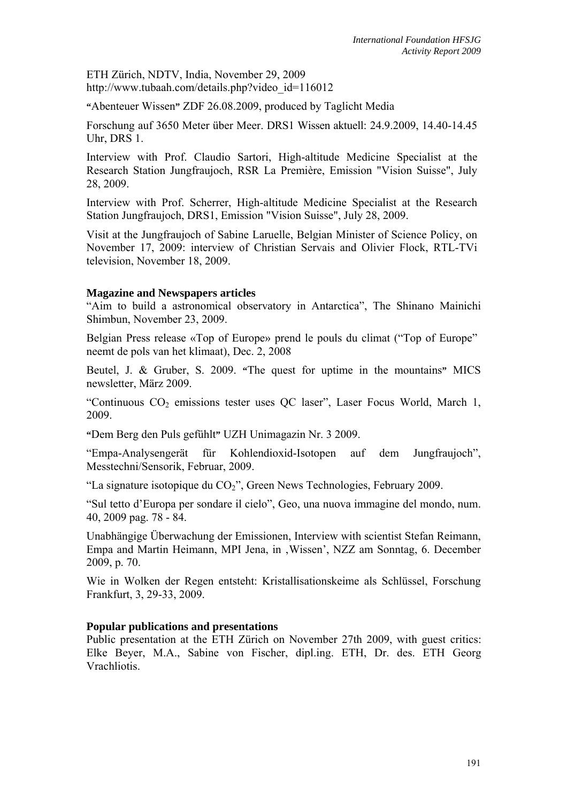ETH Zürich, NDTV, India, November 29, 2009 http://www.tubaah.com/details.php?video\_id=116012

**"**Abenteuer Wissen**"** ZDF 26.08.2009, produced by Taglicht Media

Forschung auf 3650 Meter über Meer. DRS1 Wissen aktuell: 24.9.2009, 14.40-14.45 Uhr, DRS 1.

Interview with Prof. Claudio Sartori, High-altitude Medicine Specialist at the Research Station Jungfraujoch, RSR La Première, Emission "Vision Suisse", July 28, 2009.

Interview with Prof. Scherrer, High-altitude Medicine Specialist at the Research Station Jungfraujoch, DRS1, Emission "Vision Suisse", July 28, 2009.

Visit at the Jungfraujoch of Sabine Laruelle, Belgian Minister of Science Policy, on November 17, 2009: interview of Christian Servais and Olivier Flock, RTL-TVi television, November 18, 2009.

#### **Magazine and Newspapers articles**

"Aim to build a astronomical observatory in Antarctica", The Shinano Mainichi Shimbun, November 23, 2009.

Belgian Press release «Top of Europe» prend le pouls du climat ("Top of Europe" neemt de pols van het klimaat), Dec. 2, 2008

Beutel, J. & Gruber, S. 2009. **"**The quest for uptime in the mountains**"** MICS newsletter, März 2009.

"Continuous  $CO<sub>2</sub>$  emissions tester uses OC laser", Laser Focus World, March 1, 2009.

**"**Dem Berg den Puls gefühlt**"** UZH Unimagazin Nr. 3 2009.

"Empa-Analysengerät für Kohlendioxid-Isotopen auf dem Jungfraujoch", Messtechni/Sensorik, Februar, 2009.

"La signature isotopique du  $CO<sub>2</sub>$ ", Green News Technologies, February 2009.

"Sul tetto d'Europa per sondare il cielo", Geo, una nuova immagine del mondo, num. 40, 2009 pag. 78 - 84.

Unabhängige Überwachung der Emissionen, Interview with scientist Stefan Reimann, Empa and Martin Heimann, MPI Jena, in , Wissen', NZZ am Sonntag, 6. December 2009, p. 70.

Wie in Wolken der Regen entsteht: Kristallisationskeime als Schlüssel, Forschung Frankfurt, 3, 29-33, 2009.

#### **Popular publications and presentations**

Public presentation at the ETH Zürich on November 27th 2009, with guest critics: Elke Beyer, M.A., Sabine von Fischer, dipl.ing. ETH, Dr. des. ETH Georg Vrachliotis.